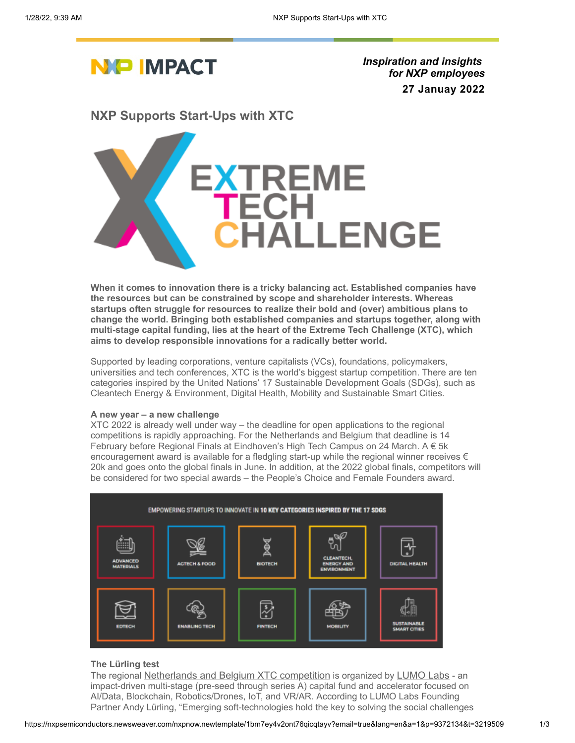

*Inspiration and insights for NXP employees* **27 Januay 2022**

**NXP Supports Start-Ups with XTC**



**When it comes to innovation there is a tricky balancing act. Established companies have the resources but can be constrained by scope and shareholder interests. Whereas startups often struggle for resources to realize their bold and (over) ambitious plans to change the world. Bringing both established companies and startups together, along with multi-stage capital funding, lies at the heart of the Extreme Tech Challenge (XTC), which aims to develop responsible innovations for a radically better world.**

Supported by leading corporations, venture capitalists (VCs), foundations, policymakers, universities and tech conferences, XTC is the world's biggest startup competition. There are ten categories inspired by the United Nations' 17 Sustainable Development Goals (SDGs), such as Cleantech Energy & Environment, Digital Health, Mobility and Sustainable Smart Cities.

### **A new year – a new challenge**

XTC 2022 is already well under way – the deadline for open applications to the regional competitions is rapidly approaching. For the Netherlands and Belgium that deadline is 14 February before Regional Finals at Eindhoven's High Tech Campus on 24 March. A € 5k encouragement award is available for a fledgling start-up while the regional winner receives  $\epsilon$ 20k and goes onto the global finals in June. In addition, at the 2022 global finals, competitors will be considered for two special awards – the People's Choice and Female Founders award.



## **The Lürling test**

The regional [Netherlands and Belgium XTC competition](https://nxpsemiconductors.newsweaver.com/nxpnow.newtemplate/t6lnnlo9h8ft76qicqtayv/external?a=6&p=9372146&t=3219476) is organized by [LUMO Labs](https://nxpsemiconductors.newsweaver.com/nxpnow.newtemplate/1go6fkirtgvt76qicqtayv/external?a=6&p=9372146&t=3219476) - an impact-driven multi-stage (pre-seed through series A) capital fund and accelerator focused on AI/Data, Blockchain, Robotics/Drones, IoT, and VR/AR. According to LUMO Labs Founding Partner Andy Lürling, "Emerging soft-technologies hold the key to solving the social challenges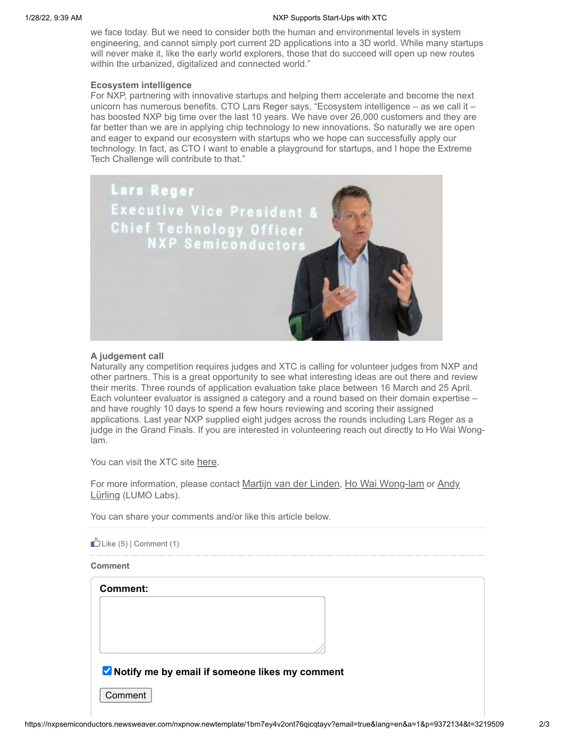we face today. But we need to consider both the human and environmental levels in system engineering, and cannot simply port current 2D applications into a 3D world. While many startups will never make it, like the early world explorers, those that do succeed will open up new routes within the urbanized, digitalized and connected world."

## **Ecosystem intelligence**

For NXP, partnering with innovative startups and helping them accelerate and become the next unicorn has numerous benefits. CTO Lars Reger says, "Ecosystem intelligence – as we call it – has boosted NXP big time over the last 10 years. We have over 26,000 customers and they are far better than we are in applying chip technology to new innovations. So naturally we are open and eager to expand our ecosystem with startups who we hope can successfully apply our technology. In fact, as CTO I want to enable a playground for startups, and I hope the Extreme Tech Challenge will contribute to that."



## **A judgement call**

Naturally any competition requires judges and XTC is calling for volunteer judges from NXP and other partners. This is a great opportunity to see what interesting ideas are out there and review their merits. Three rounds of application evaluation take place between 16 March and 25 April. Each volunteer evaluator is assigned a category and a round based on their domain expertise – and have roughly 10 days to spend a few hours reviewing and scoring their assigned applications. Last year NXP supplied eight judges across the rounds including Lars Reger as a judge in the Grand Finals. If you are interested in volunteering reach out directly to Ho Wai Wonglam.

You can visit the XTC site [here](https://nxpsemiconductors.newsweaver.com/nxpnow.newtemplate/t6lnnlo9h8ft76qicqtayv/external?i=2&a=6&p=9372146&t=3219476).

[For more information, please contact](mailto:Andy%20L%C3%BCrling%20%3candy@lumolabs.io%3e) [Martijn van der Linden](mailto:martijn.van.der.linden@nxp.com), [Ho Wai Wong-lam](mailto:ho.wai.wong-lam@nxp.com) or Andy Lürling (LUMO Labs).

You can share your comments and/or like this article below.

|  | $\mathbb{D}$ Like (5)   Comment (1) |  |
|--|-------------------------------------|--|
|  |                                     |  |

### **Comment**

**Comment:**

**V** Notify me by email if someone likes my comment

Comment